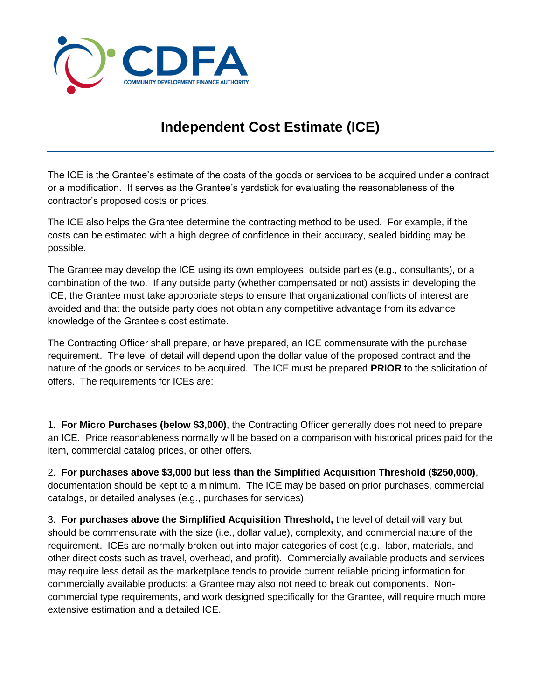

## **Independent Cost Estimate (ICE)**

The ICE is the Grantee's estimate of the costs of the goods or services to be acquired under a contract or a modification. It serves as the Grantee's yardstick for evaluating the reasonableness of the contractor's proposed costs or prices.

The ICE also helps the Grantee determine the contracting method to be used. For example, if the costs can be estimated with a high degree of confidence in their accuracy, sealed bidding may be possible.

The Grantee may develop the ICE using its own employees, outside parties (e.g., consultants), or a combination of the two. If any outside party (whether compensated or not) assists in developing the ICE, the Grantee must take appropriate steps to ensure that organizational conflicts of interest are avoided and that the outside party does not obtain any competitive advantage from its advance knowledge of the Grantee's cost estimate.

The Contracting Officer shall prepare, or have prepared, an ICE commensurate with the purchase requirement. The level of detail will depend upon the dollar value of the proposed contract and the nature of the goods or services to be acquired. The ICE must be prepared **PRIOR** to the solicitation of offers. The requirements for ICEs are:

1. **For Micro Purchases (below \$3,000)**, the Contracting Officer generally does not need to prepare an ICE. Price reasonableness normally will be based on a comparison with historical prices paid for the item, commercial catalog prices, or other offers.

2. **For purchases above \$3,000 but less than the Simplified Acquisition Threshold (\$250,000)**, documentation should be kept to a minimum. The ICE may be based on prior purchases, commercial catalogs, or detailed analyses (e.g., purchases for services).

3. **For purchases above the Simplified Acquisition Threshold,** the level of detail will vary but should be commensurate with the size (i.e., dollar value), complexity, and commercial nature of the requirement. ICEs are normally broken out into major categories of cost (e.g., labor, materials, and other direct costs such as travel, overhead, and profit). Commercially available products and services may require less detail as the marketplace tends to provide current reliable pricing information for commercially available products; a Grantee may also not need to break out components. Noncommercial type requirements, and work designed specifically for the Grantee, will require much more extensive estimation and a detailed ICE.